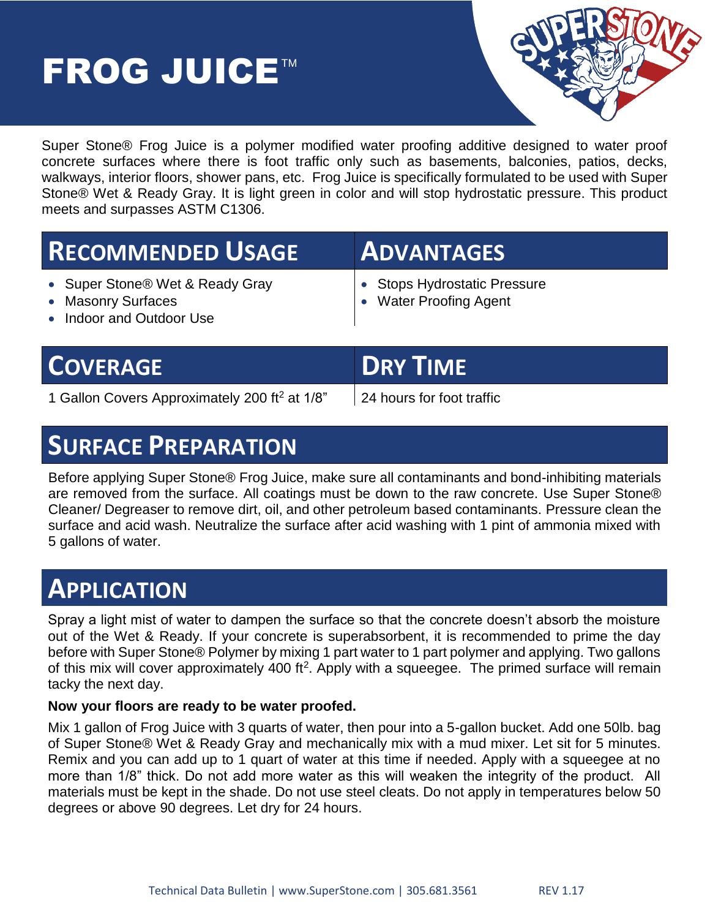# FROG JUICE™



Super Stone® Frog Juice is a polymer modified water proofing additive designed to water proof concrete surfaces where there is foot traffic only such as basements, balconies, patios, decks, walkways, interior floors, shower pans, etc. Frog Juice is specifically formulated to be used with Super Stone® Wet & Ready Gray. It is light green in color and will stop hydrostatic pressure. This product meets and surpasses ASTM C1306.

| <b>RECOMMENDED USAGE</b>                                                                      | <b>ADVANTAGES</b>                                           |
|-----------------------------------------------------------------------------------------------|-------------------------------------------------------------|
| • Super Stone <sup>®</sup> Wet & Ready Gray<br>• Masonry Surfaces<br>• Indoor and Outdoor Use | • Stops Hydrostatic Pressure<br><b>Water Proofing Agent</b> |

|  | <b>COVERAGE</b> |
|--|-----------------|
|  |                 |

1 Gallon Covers Approximately 200 ft<sup>2</sup> at 1/8" | 24 hours for foot traffic

**DRY TIME** 

## **SURFACE PREPARATION**

Before applying Super Stone® Frog Juice, make sure all contaminants and bond-inhibiting materials are removed from the surface. All coatings must be down to the raw concrete. Use Super Stone® Cleaner/ Degreaser to remove dirt, oil, and other petroleum based contaminants. Pressure clean the surface and acid wash. Neutralize the surface after acid washing with 1 pint of ammonia mixed with 5 gallons of water.

## **APPLICATION**

Spray a light mist of water to dampen the surface so that the concrete doesn't absorb the moisture out of the Wet & Ready. If your concrete is superabsorbent, it is recommended to prime the day before with Super Stone® Polymer by mixing 1 part water to 1 part polymer and applying. Two gallons of this mix will cover approximately 400 ft<sup>2</sup>. Apply with a squeegee. The primed surface will remain tacky the next day.

#### **Now your floors are ready to be water proofed.**

Mix 1 gallon of Frog Juice with 3 quarts of water, then pour into a 5-gallon bucket. Add one 50lb. bag of Super Stone® Wet & Ready Gray and mechanically mix with a mud mixer. Let sit for 5 minutes. Remix and you can add up to 1 quart of water at this time if needed. Apply with a squeegee at no more than 1/8" thick. Do not add more water as this will weaken the integrity of the product. All materials must be kept in the shade. Do not use steel cleats. Do not apply in temperatures below 50 degrees or above 90 degrees. Let dry for 24 hours.